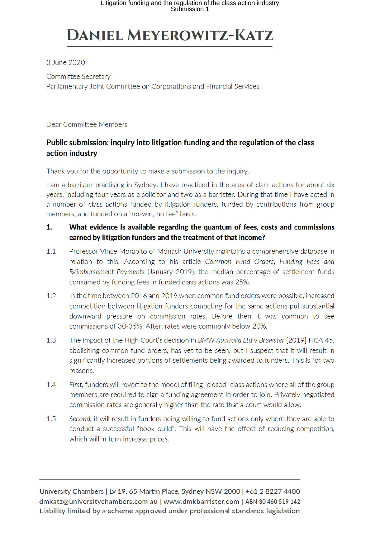# **DANIEL MEYEROWITZ-KATZ**

3 June 2020

Committee Secretary Parliamentary Joint Committee on Corporations and Financial Services

Dear Committee Members

## Public submission: inquiry into litigation funding and the regulation of the class action industry

Thank you for the opportunity to make a submission to the inquiry.

I am a barrister practising in Sydney. I have practiced in the area of class actions for about six years, including four years as a solicitor and two as a barrister. During that time I have acted in a number of class actions funded by litigation funders, funded by contributions from group members, and funded on a "no-win, no fee" basis.

#### $1.$ What evidence is available regarding the quantum of fees, costs and commissions earned by litigation funders and the treatment of that income?

- $1.1$ Professor Vince Morabito of Monash University maintains a comprehensive database in relation to this. According to his article Common Fund Orders, Funding Fees and Reimbursement Payments (January 2019), the median percentage of settlement funds consumed by funding fees in funded class actions was 25%.
- $1.2$ In the time between 2016 and 2019 when common fund orders were possible, increased competition between litigation funders competing for the same actions put substantial downward pressure on commission rates. Before then it was common to see commissions of 30-35%. After, rates were commonly below 20%.
- $1.3$ The impact of the High Court's decision in BMW Australia Ltd v Brewster [2019] HCA 45. abolishing common fund orders, has yet to be seen, but I suspect that it will result in significantly increased portions of settlements being awarded to funders. This is for two reasons.
- $1.4$ First, funders will revert to the model of filing "closed" class actions where all of the group members are required to sign a funding agreement in order to join. Privately negotiated commission rates are generally higher than the rate that a court would allow.
- $1.5$ Second, it will result in funders being willing to fund actions only where they are able to conduct a successful "book build". This will have the effect of reducing competition, which will in turn increase prices.

University Chambers | Lv 19, 65 Martin Place, Sydney NSW 2000 | +61 2 8227 4400 dmkatz@universitychambers.com.au | www.dmkbarrister.com | ABN 30 460 519 142 Liability limited by a scheme approved under professional standards legislation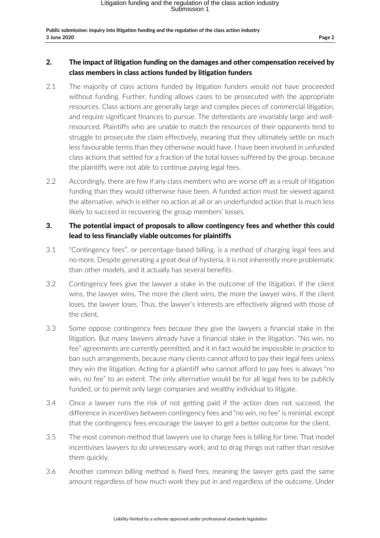## 2. The impact of litigation funding on the damages and other compensation received by class members in class actions funded by litigation funders

- 2.1 The majority of class actions funded by litigation funders would not have proceeded without funding. Further, funding allows cases to be prosecuted with the appropriate resources. Class actions are generally large and complex pieces of commercial litigation, and require significant finances to pursue. The defendants are invariably large and wellresourced. Plaintiffs who are unable to match the resources of their opponents tend to struggle to prosecute the claim effectively, meaning that they ultimately settle on much less favourable terms than they otherwise would have. I have been involved in unfunded class actions that settled for a fraction of the total losses suffered by the group, because the plaintiffs were not able to continue paying legal fees.
- 2.2 Accordingly, there are few if any class members who are worse off as a result of litigation funding than they would otherwise have been. A funded action must be viewed against the alternative, which is either no action at all or an underfunded action that is much less likely to succeed in recovering the group members' losses.

## 3. The potential impact of proposals to allow contingency fees and whether this could lead to less financially viable outcomes for plaintiffs

- 3.1 "Contingency fees", or percentage-based billing, is a method of charging legal fees and no more. Despite generating a great deal of hysteria, it is not inherently more problematic than other models, and it actually has several benefits.
- 3.2 Contingency fees give the lawyer a stake in the outcome of the litigation. If the client wins, the lawyer wins. The more the client wins, the more the lawyer wins. If the client loses, the lawyer loses. Thus, the lawyer's interests are effectively aligned with those of the client.
- 3.3 Some oppose contingency fees *because* they give the lawyers a financial stake in the litigation. But many lawyers already have a financial stake in the litigation. "No win, no fee" agreements are currently permitted, and it in fact would be impossible in practice to ban such arrangements, because many clients cannot afford to pay their legal fees unless they win the litigation. Acting for a plaintiff who cannot afford to pay fees is always "no win, no fee" to an extent. The only alternative would be for all legal fees to be publicly funded, or to permit only large companies and wealthy individual to litigate.
- 3.4 Once a lawyer runs the risk of not getting paid if the action does not succeed, the difference in incentives between contingency fees and "no win, no fee" is minimal, except that the contingency fees encourage the lawyer to get a better outcome for the client.
- 3.5 The most common method that lawyers use to charge fees is billing for time. That model incentivises lawyers to do unnecessary work, and to drag things out rather than resolve them quickly.
- 3.6 Another common billing method is fixed fees, meaning the lawyer gets paid the same amount regardless of how much work they put in and regardless of the outcome. Under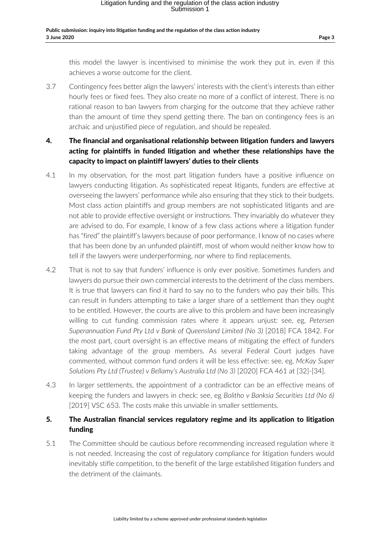this model the lawyer is incentivised to minimise the work they put in, even if this achieves a worse outcome for the client.

3.7 Contingency fees better align the lawyers' interests with the client's interests than either hourly fees or fixed fees. They also create no more of a conflict of interest. There is no rational reason to ban lawyers from charging for the outcome that they achieve rather than the amount of time they spend getting there. The ban on contingency fees is an archaic and unjustified piece of regulation, and should be repealed.

## 4. The financial and organisational relationship between litigation funders and lawyers acting for plaintiffs in funded litigation and whether these relationships have the capacity to impact on plaintiff lawyers' duties to their clients

- 4.1 In my observation, for the most part litigation funders have a positive influence on lawyers conducting litigation. As sophisticated repeat litigants, funders are effective at overseeing the lawyers' performance while also ensuring that they stick to their budgets. Most class action plaintiffs and group members are not sophisticated litigants and are not able to provide effective oversight or instructions. They invariably do whatever they are advised to do. For example, I know of a few class actions where a litigation funder has "fired" the plaintiff's lawyers because of poor performance. I know of no cases where that has been done by an unfunded plaintiff, most of whom would neither know how to tell if the lawyers were underperforming, nor where to find replacements.
- 4.2 That is not to say that funders' influence is only ever positive. Sometimes funders and lawyers do pursue their own commercial interests to the detriment of the class members. It is true that lawyers can find it hard to say no to the funders who pay their bills. This can result in funders attempting to take a larger share of a settlement than they ought to be entitled. However, the courts are alive to this problem and have been increasingly willing to cut funding commission rates where it appears unjust: see, eg, *Petersen Superannuation Fund Pty Ltd v Bank of Queensland Limited (No 3)* [2018] FCA 1842. For the most part, court oversight is an effective means of mitigating the effect of funders taking advantage of the group members. As several Federal Court judges have commented, without common fund orders it will be less effective: see, eg, *McKay Super Solutions Pty Ltd (Trustee) v Bellamy's Australia Ltd (No 3)* [2020] FCA 461 at [32]-[34].
- 4.3 In larger settlements, the appointment of a contradictor can be an effective means of keeping the funders and lawyers in check: see, eg *Bolitho v Banksia Securities Ltd (No 6)* [2019] VSC 653. The costs make this unviable in smaller settlements.

## 5. The Australian financial services regulatory regime and its application to litigation funding

5.1 The Committee should be cautious before recommending increased regulation where it is not needed. Increasing the cost of regulatory compliance for litigation funders would inevitably stifle competition, to the benefit of the large established litigation funders and the detriment of the claimants.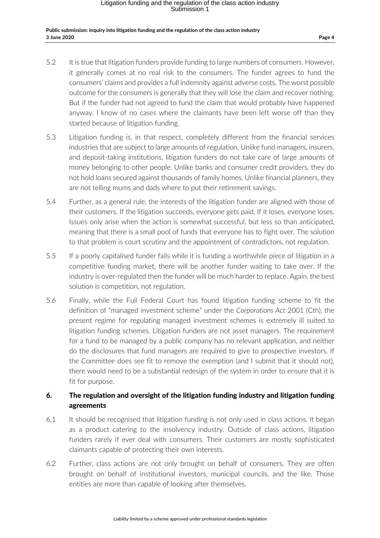#### **Public submission: inquiry into litigation funding and the regulation of the class action industry 3 June 2020 Page 4**

- 5.2 It is true that litigation funders provide funding to large numbers of consumers. However, it generally comes at no real risk to the consumers. The funder agrees to fund the consumers' claims and provides a full indemnity against adverse costs. The worst possible outcome for the consumers is generally that they will lose the claim and recover nothing. But if the funder had not agreed to fund the claim that would probably have happened anyway. I know of no cases where the claimants have been left worse off than they started because of litigation funding.
- 5.3 Litigation funding is, in that respect, completely different from the financial services industries that are subject to large amounts of regulation. Unlike fund managers, insurers, and deposit-taking institutions, litigation funders do not take care of large amounts of money belonging to other people. Unlike banks and consumer credit providers, they do not hold loans secured against thousands of family homes. Unlike financial planners, they are not telling mums and dads where to put their retirement savings.
- 5.4 Further, as a general rule, the interests of the litigation funder are aligned with those of their customers. If the litigation succeeds, everyone gets paid. If it loses, everyone loses. Issues only arise when the action is somewhat successful, but less so than anticipated, meaning that there is a small pool of funds that everyone has to fight over. The solution to that problem is court scrutiny and the appointment of contradictors, not regulation.
- 5.5 If a poorly capitalised funder fails while it is funding a worthwhile piece of litigation in a competitive funding market, there will be another funder waiting to take over. If the industry is over-regulated then the funder will be much harder to replace. Again, the best solution is competition, not regulation.
- 5.6 Finally, while the Full Federal Court has found litigation funding scheme to fit the definition of "managed investment scheme" under the *Corporations Act* 2001 (Cth), the present regime for regulating managed investment schemes is extremely ill suited to litigation funding schemes. Litigation funders are not asset managers. The requirement for a fund to be managed by a public company has no relevant application, and neither do the disclosures that fund managers are required to give to prospective investors. If the Committee does see fit to remove the exemption (and I submit that it should not), there would need to be a substantial redesign of the system in order to ensure that it is fit for purpose.

## 6. The regulation and oversight of the litigation funding industry and litigation funding agreements

- 6.1 It should be recognised that litigation funding is not only used in class actions. It began as a product catering to the insolvency industry. Outside of class actions, litigation funders rarely if ever deal with consumers. Their customers are mostly sophisticated claimants capable of protecting their own interests.
- 6.2 Further, class actions are not only brought on behalf of consumers. They are often brought on behalf of institutional investors, municipal councils, and the like. Those entities are more than capable of looking after themselves.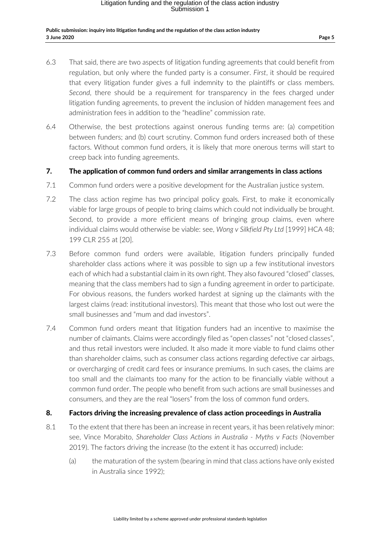#### **Public submission: inquiry into litigation funding and the regulation of the class action industry 3 June 2020 Page 5**

- 6.3 That said, there are two aspects of litigation funding agreements that could benefit from regulation, but only where the funded party is a consumer. *First*, it should be required that every litigation funder gives a full indemnity to the plaintiffs or class members. *Second*, there should be a requirement for transparency in the fees charged under litigation funding agreements, to prevent the inclusion of hidden management fees and administration fees in addition to the "headline" commission rate.
- 6.4 Otherwise, the best protections against onerous funding terms are: (a) competition between funders; and (b) court scrutiny. Common fund orders increased both of these factors. Without common fund orders, it is likely that more onerous terms will start to creep back into funding agreements.

### 7. The application of common fund orders and similar arrangements in class actions

- 7.1 Common fund orders were a positive development for the Australian justice system.
- 7.2 The class action regime has two principal policy goals. First, to make it economically viable for large groups of people to bring claims which could not individually be brought. Second, to provide a more efficient means of bringing group claims, even where individual claims would otherwise be viable: see, *Wong v Silkfield Pty Ltd* [1999] HCA 48; 199 CLR 255 at [20].
- 7.3 Before common fund orders were available, litigation funders principally funded shareholder class actions where it was possible to sign up a few institutional investors each of which had a substantial claim in its own right. They also favoured "closed" classes, meaning that the class members had to sign a funding agreement in order to participate. For obvious reasons, the funders worked hardest at signing up the claimants with the largest claims (read: institutional investors). This meant that those who lost out were the small businesses and "mum and dad investors".
- 7.4 Common fund orders meant that litigation funders had an incentive to maximise the number of claimants. Claims were accordingly filed as "open classes" not "closed classes", and thus retail investors were included. It also made it more viable to fund claims other than shareholder claims, such as consumer class actions regarding defective car airbags, or overcharging of credit card fees or insurance premiums. In such cases, the claims are too small and the claimants too many for the action to be financially viable without a common fund order. The people who benefit from such actions are small businesses and consumers, and they are the real "losers" from the loss of common fund orders.

### 8. Factors driving the increasing prevalence of class action proceedings in Australia

- 8.1 To the extent that there has been an increase in recent years, it has been relatively minor: see, Vince Morabito, *Shareholder Class Actions in Australia - Myths v Facts* (November 2019). The factors driving the increase (to the extent it has occurred) include:
	- (a) the maturation of the system (bearing in mind that class actions have only existed in Australia since 1992);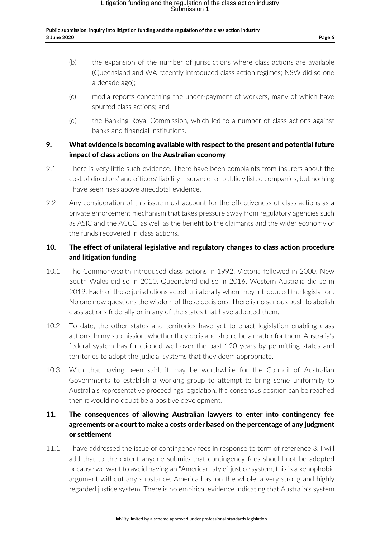#### **Public submission: inquiry into litigation funding and the regulation of the class action industry 3 June 2020 Page 6**

- (b) the expansion of the number of jurisdictions where class actions are available (Queensland and WA recently introduced class action regimes; NSW did so one a decade ago);
- (c) media reports concerning the under-payment of workers, many of which have spurred class actions; and
- (d) the Banking Royal Commission, which led to a number of class actions against banks and financial institutions.

## 9. What evidence is becoming available with respect to the present and potential future impact of class actions on the Australian economy

- 9.1 There is very little such evidence. There have been complaints from insurers about the cost of directors' and officers' liability insurance for publicly listed companies, but nothing I have seen rises above anecdotal evidence.
- 9.2 Any consideration of this issue must account for the effectiveness of class actions as a private enforcement mechanism that takes pressure away from regulatory agencies such as ASIC and the ACCC, as well as the benefit to the claimants and the wider economy of the funds recovered in class actions.

## 10. The effect of unilateral legislative and regulatory changes to class action procedure and litigation funding

- 10.1 The Commonwealth introduced class actions in 1992. Victoria followed in 2000. New South Wales did so in 2010. Queensland did so in 2016. Western Australia did so in 2019. Each of those jurisdictions acted unilaterally when they introduced the legislation. No one now questions the wisdom of those decisions. There is no serious push to abolish class actions federally or in any of the states that have adopted them.
- 10.2 To date, the other states and territories have yet to enact legislation enabling class actions. In my submission, whether they do is and should be a matter for them. Australia's federal system has functioned well over the past 120 years by permitting states and territories to adopt the judicial systems that they deem appropriate.
- 10.3 With that having been said, it may be worthwhile for the Council of Australian Governments to establish a working group to attempt to bring some uniformity to Australia's representative proceedings legislation. If a consensus position can be reached then it would no doubt be a positive development.

## 11. The consequences of allowing Australian lawyers to enter into contingency fee agreements or a court to make a costs order based on the percentage of any judgment or settlement

11.1 I have addressed the issue of contingency fees in response to term of reference 3. I will add that to the extent anyone submits that contingency fees should not be adopted because we want to avoid having an "American-style" justice system, this is a xenophobic argument without any substance. America has, on the whole, a very strong and highly regarded justice system. There is no empirical evidence indicating that Australia's system